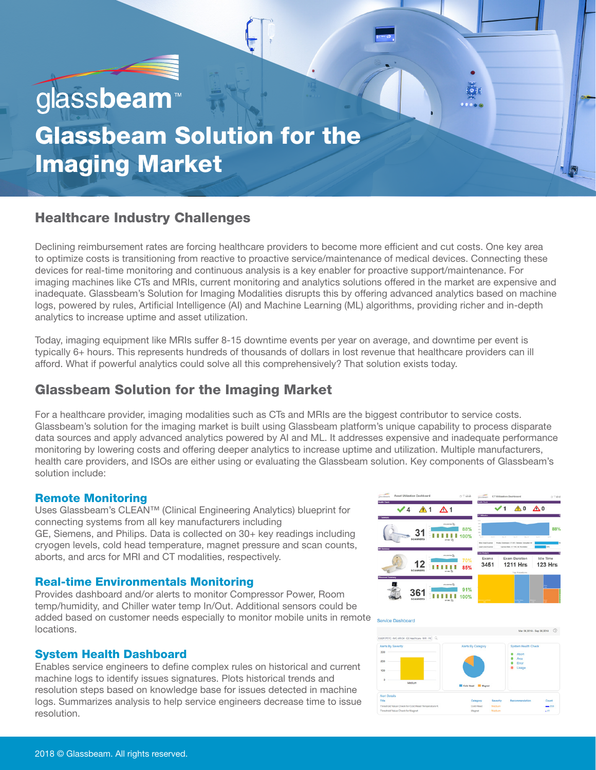# glassbeam

# Glassbeam Solution for the Imaging Market

# Healthcare Industry Challenges

Declining reimbursement rates are forcing healthcare providers to become more efficient and cut costs. One key area to optimize costs is transitioning from reactive to proactive service/maintenance of medical devices. Connecting these devices for real-time monitoring and continuous analysis is a key enabler for proactive support/maintenance. For imaging machines like CTs and MRIs, current monitoring and analytics solutions offered in the market are expensive and inadequate. Glassbeam's Solution for Imaging Modalities disrupts this by offering advanced analytics based on machine logs, powered by rules, Artificial Intelligence (AI) and Machine Learning (ML) algorithms, providing richer and in-depth analytics to increase uptime and asset utilization.

Today, imaging equipment like MRIs suffer 8-15 downtime events per year on average, and downtime per event is typically 6+ hours. This represents hundreds of thousands of dollars in lost revenue that healthcare providers can ill afford. What if powerful analytics could solve all this comprehensively? That solution exists today.

# Glassbeam Solution for the Imaging Market

For a healthcare provider, imaging modalities such as CTs and MRIs are the biggest contributor to service costs. Glassbeam's solution for the imaging market is built using Glassbeam platform's unique capability to process disparate data sources and apply advanced analytics powered by AI and ML. It addresses expensive and inadequate performance monitoring by lowering costs and offering deeper analytics to increase uptime and utilization. Multiple manufacturers, health care providers, and ISOs are either using or evaluating the Glassbeam solution. Key components of Glassbeam's solution include:

# Remote Monitoring

Uses Glassbeam's CLEAN™ (Clinical Engineering Analytics) blueprint for connecting systems from all key manufacturers including GE, Siemens, and Philips. Data is collected on 30+ key readings including cryogen levels, cold head temperature, magnet pressure and scan counts, aborts, and arcs for MRI and CT modalities, respectively.

# Real-time Environmentals Monitoring

Provides dashboard and/or alerts to monitor Compressor Power, Room temp/humidity, and Chiller water temp In/Out. Additional sensors could be added based on customer needs especially to monitor mobile units in remote service Dashtoard locations.

# System Health Dashboard

Enables service engineers to define complex rules on historical and current machine logs to identify issues signatures. Plots historical trends and resolution steps based on knowledge base for issues detected in machine logs. Summarizes analysis to help service engineers decrease time to issue resolution.